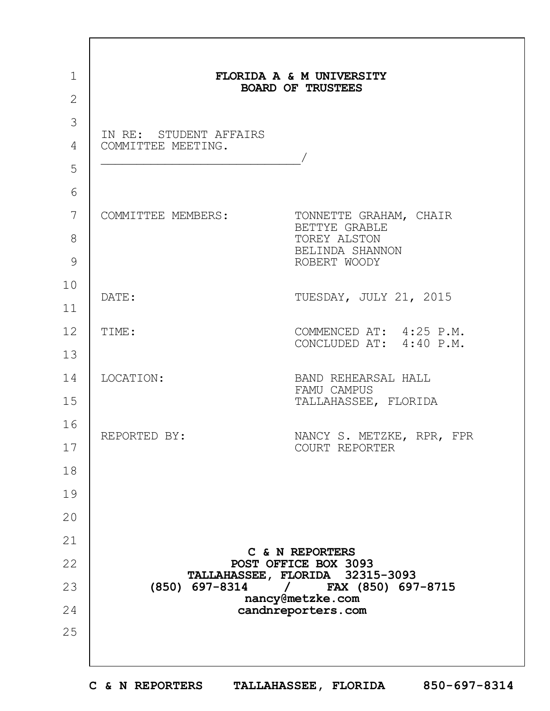|                                              | FLORIDA A & M UNIVERSITY<br><b>BOARD OF TRUSTEES</b>                                       |  |  |
|----------------------------------------------|--------------------------------------------------------------------------------------------|--|--|
|                                              |                                                                                            |  |  |
| IN RE: STUDENT AFFAIRS<br>COMMITTEE MEETING. |                                                                                            |  |  |
| COMMITTEE MEMBERS:                           | TONNETTE GRAHAM, CHAIR<br>BETTYE GRABLE<br>TOREY ALSTON<br>BELINDA SHANNON<br>ROBERT WOODY |  |  |
| DATE:                                        | TUESDAY, JULY 21, 2015                                                                     |  |  |
| TIME:                                        | COMMENCED AT: 4:25 P.M.<br>CONCLUDED AT: 4:40 P.M.                                         |  |  |
| LOCATION:                                    | BAND REHEARSAL HALL<br>FAMU CAMPUS<br>TALLAHASSEE, FLORIDA                                 |  |  |
| REPORTED BY:                                 | NANCY S. METZKE, RPR, FPR<br>COURT REPORTER                                                |  |  |
|                                              |                                                                                            |  |  |
|                                              |                                                                                            |  |  |
|                                              |                                                                                            |  |  |
|                                              | C & N REPORTERS<br>POST OFFICE BOX 3093                                                    |  |  |
| (850) 697-8314                               | TALLAHASSEE, FLORIDA 32315-3093<br>FAX (850) 697-8715                                      |  |  |
|                                              | nancy@metzke.com<br>candnreporters.com                                                     |  |  |
|                                              |                                                                                            |  |  |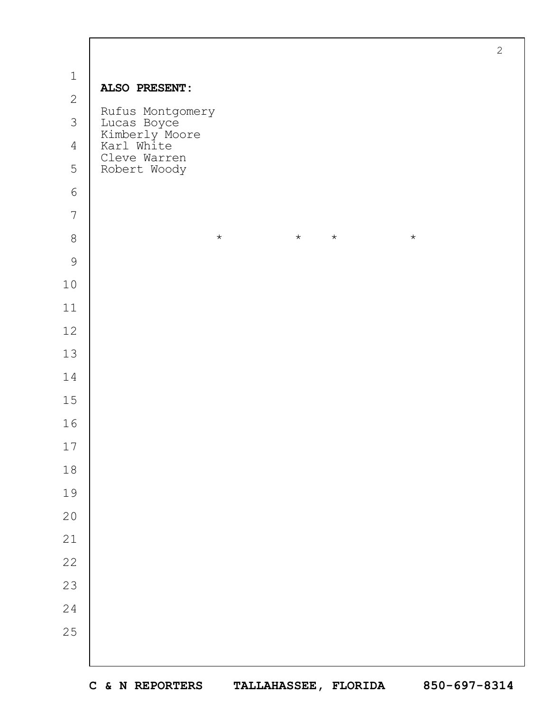| $\mathbf 1$<br>ALSO PRESENT:<br>$\overline{2}$<br>Rufus Montgomery<br>3<br>Lucas Boyce<br>Kimberly Moore<br>Karl White<br>$\overline{4}$<br>Cleve Warren<br>5<br>Robert Woody<br>$\sqrt{6}$<br>$\boldsymbol{7}$<br>$\,8\,$<br>$\star$<br>$\star$<br>$\star$<br>$\star$<br>$\mathcal{G}$<br>$10$<br>$11$<br>12<br>$13$<br>14<br>15<br>16<br>$17\,$<br>$1\,8$<br>19<br>$2\,0$<br>21<br>22<br>23<br>24<br>25 |  | $\overline{2}$ |
|-----------------------------------------------------------------------------------------------------------------------------------------------------------------------------------------------------------------------------------------------------------------------------------------------------------------------------------------------------------------------------------------------------------|--|----------------|
|                                                                                                                                                                                                                                                                                                                                                                                                           |  |                |
|                                                                                                                                                                                                                                                                                                                                                                                                           |  |                |
|                                                                                                                                                                                                                                                                                                                                                                                                           |  |                |
|                                                                                                                                                                                                                                                                                                                                                                                                           |  |                |
|                                                                                                                                                                                                                                                                                                                                                                                                           |  |                |
|                                                                                                                                                                                                                                                                                                                                                                                                           |  |                |
|                                                                                                                                                                                                                                                                                                                                                                                                           |  |                |
|                                                                                                                                                                                                                                                                                                                                                                                                           |  |                |
|                                                                                                                                                                                                                                                                                                                                                                                                           |  |                |
|                                                                                                                                                                                                                                                                                                                                                                                                           |  |                |
|                                                                                                                                                                                                                                                                                                                                                                                                           |  |                |
|                                                                                                                                                                                                                                                                                                                                                                                                           |  |                |
|                                                                                                                                                                                                                                                                                                                                                                                                           |  |                |
|                                                                                                                                                                                                                                                                                                                                                                                                           |  |                |
|                                                                                                                                                                                                                                                                                                                                                                                                           |  |                |
|                                                                                                                                                                                                                                                                                                                                                                                                           |  |                |
|                                                                                                                                                                                                                                                                                                                                                                                                           |  |                |
|                                                                                                                                                                                                                                                                                                                                                                                                           |  |                |
|                                                                                                                                                                                                                                                                                                                                                                                                           |  |                |
|                                                                                                                                                                                                                                                                                                                                                                                                           |  |                |
|                                                                                                                                                                                                                                                                                                                                                                                                           |  |                |
|                                                                                                                                                                                                                                                                                                                                                                                                           |  |                |
|                                                                                                                                                                                                                                                                                                                                                                                                           |  |                |
|                                                                                                                                                                                                                                                                                                                                                                                                           |  |                |
|                                                                                                                                                                                                                                                                                                                                                                                                           |  |                |
|                                                                                                                                                                                                                                                                                                                                                                                                           |  |                |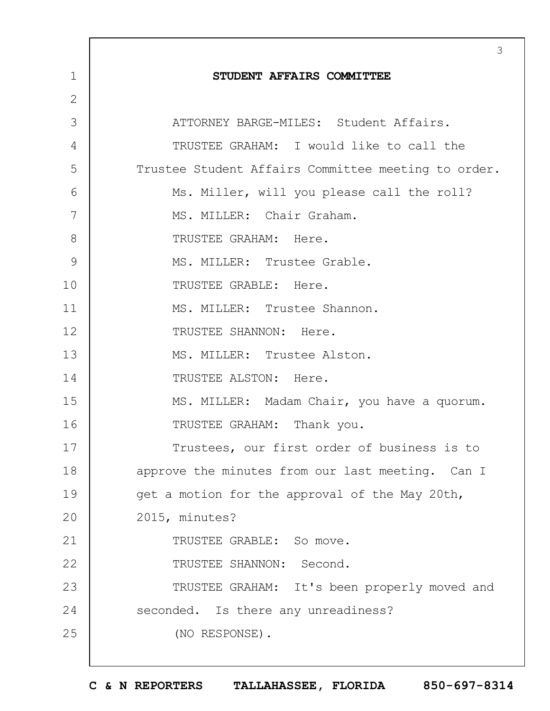|                | 3                                                   |
|----------------|-----------------------------------------------------|
| $\mathbf 1$    | STUDENT AFFAIRS COMMITTEE                           |
| $\overline{2}$ |                                                     |
| 3              | ATTORNEY BARGE-MILES: Student Affairs.              |
| 4              | TRUSTEE GRAHAM: I would like to call the            |
| 5              | Trustee Student Affairs Committee meeting to order. |
| 6              | Ms. Miller, will you please call the roll?          |
| 7              | MS. MILLER: Chair Graham.                           |
| 8              | TRUSTEE GRAHAM: Here.                               |
| 9              | MS. MILLER: Trustee Grable.                         |
| 10             | TRUSTEE GRABLE: Here.                               |
| 11             | MS. MILLER: Trustee Shannon.                        |
| 12             | TRUSTEE SHANNON: Here.                              |
| 13             | MS. MILLER: Trustee Alston.                         |
| 14             | TRUSTEE ALSTON: Here.                               |
| 15             | MS. MILLER: Madam Chair, you have a quorum.         |
| 16             | TRUSTEE GRAHAM: Thank you.                          |
| 17             | Trustees, our first order of business is to         |
| 18             | approve the minutes from our last meeting. Can I    |
| 19             | get a motion for the approval of the May 20th,      |
| 20             | 2015, minutes?                                      |
| 21             | TRUSTEE GRABLE: So move.                            |
| 22             | TRUSTEE SHANNON: Second.                            |
| 23             | TRUSTEE GRAHAM: It's been properly moved and        |
| 24             | seconded. Is there any unreadiness?                 |
| 25             | (NO RESPONSE).                                      |
|                |                                                     |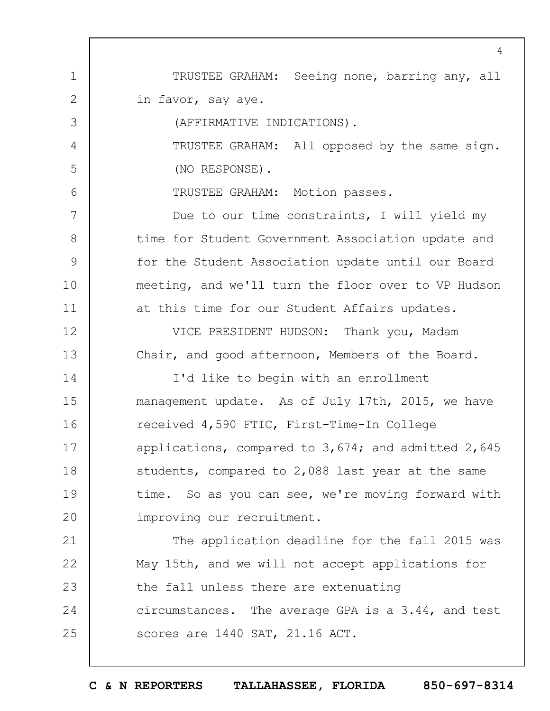1 2 3 4 5 6 7 8 9 10 11 12 13 14 15 16 17 18 19  $20$ 21 22 23 24 25  $\Delta$ TRUSTEE GRAHAM: Seeing none, barring any, all in favor, say aye. (AFFIRMATIVE INDICATIONS). TRUSTEE GRAHAM: All opposed by the same sign. (NO RESPONSE). TRUSTEE GRAHAM: Motion passes. Due to our time constraints, I will yield my time for Student Government Association update and for the Student Association update until our Board meeting, and we'll turn the floor over to VP Hudson at this time for our Student Affairs updates. VICE PRESIDENT HUDSON: Thank you, Madam Chair, and good afternoon, Members of the Board. I'd like to begin with an enrollment management update. As of July 17th, 2015, we have received 4,590 FTIC, First-Time-In College applications, compared to 3,674; and admitted 2,645 students, compared to 2,088 last year at the same time. So as you can see, we're moving forward with improving our recruitment. The application deadline for the fall 2015 was May 15th, and we will not accept applications for the fall unless there are extenuating circumstances. The average GPA is a 3.44, and test scores are 1440 SAT, 21.16 ACT.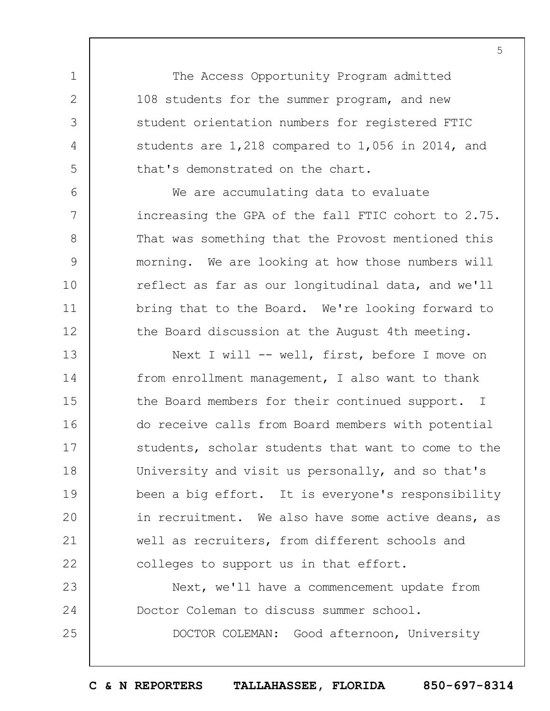The Access Opportunity Program admitted 108 students for the summer program, and new student orientation numbers for registered FTIC students are 1,218 compared to 1,056 in 2014, and that's demonstrated on the chart.

1

2

3

4

5

6

7

8

9

10

11

12

23

24

25

We are accumulating data to evaluate increasing the GPA of the fall FTIC cohort to 2.75. That was something that the Provost mentioned this morning. We are looking at how those numbers will reflect as far as our longitudinal data, and we'll bring that to the Board. We're looking forward to the Board discussion at the August 4th meeting.

13 14 15 16 17 18 19  $20$ 21 22 Next I will -- well, first, before I move on from enrollment management, I also want to thank the Board members for their continued support. I do receive calls from Board members with potential students, scholar students that want to come to the University and visit us personally, and so that's been a big effort. It is everyone's responsibility in recruitment. We also have some active deans, as well as recruiters, from different schools and colleges to support us in that effort.

Next, we'll have a commencement update from Doctor Coleman to discuss summer school.

DOCTOR COLEMAN: Good afternoon, University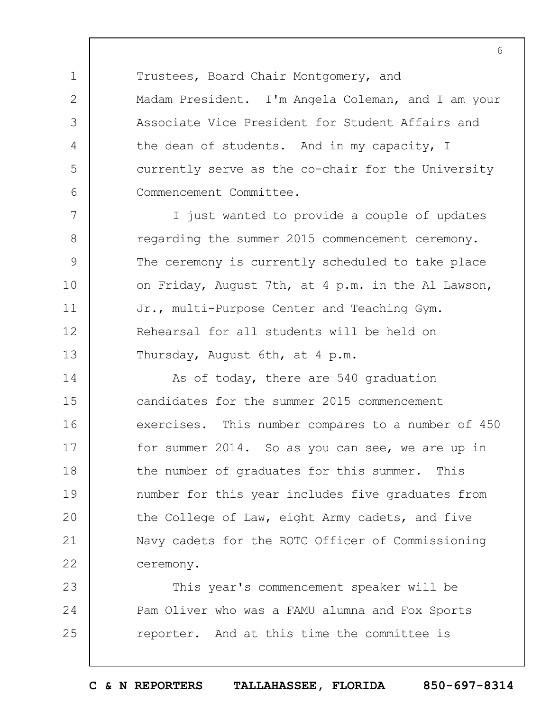Trustees, Board Chair Montgomery, and Madam President. I'm Angela Coleman, and I am your Associate Vice President for Student Affairs and the dean of students. And in my capacity, I currently serve as the co-chair for the University Commencement Committee.

1

2

3

4

5

6

7 8 9 10 11 12 13 I just wanted to provide a couple of updates regarding the summer 2015 commencement ceremony. The ceremony is currently scheduled to take place on Friday, August 7th, at 4 p.m. in the Al Lawson, Jr., multi-Purpose Center and Teaching Gym. Rehearsal for all students will be held on Thursday, August 6th, at 4 p.m.

14 15 16 17 18 19  $20$ 21 22 As of today, there are 540 graduation candidates for the summer 2015 commencement exercises. This number compares to a number of 450 for summer 2014. So as you can see, we are up in the number of graduates for this summer. This number for this year includes five graduates from the College of Law, eight Army cadets, and five Navy cadets for the ROTC Officer of Commissioning ceremony.

23 24 25 This year's commencement speaker will be Pam Oliver who was a FAMU alumna and Fox Sports reporter. And at this time the committee is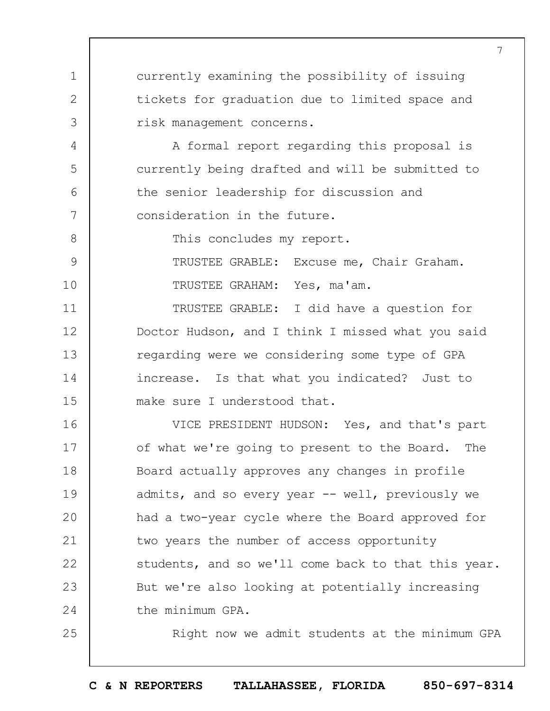currently examining the possibility of issuing tickets for graduation due to limited space and risk management concerns.

A formal report regarding this proposal is currently being drafted and will be submitted to the senior leadership for discussion and consideration in the future.

8

9

10

11

12

13

14

15

25

1

2

3

4

5

6

7

This concludes my report.

TRUSTEE GRABLE: Excuse me, Chair Graham. TRUSTEE GRAHAM: Yes, ma'am.

TRUSTEE GRABLE: I did have a question for Doctor Hudson, and I think I missed what you said regarding were we considering some type of GPA increase. Is that what you indicated? Just to make sure I understood that.

16 17 18 19  $20$ 21 22 23 24 VICE PRESIDENT HUDSON: Yes, and that's part of what we're going to present to the Board. The Board actually approves any changes in profile admits, and so every year -- well, previously we had a two-year cycle where the Board approved for two years the number of access opportunity students, and so we'll come back to that this year. But we're also looking at potentially increasing the minimum GPA.

Right now we admit students at the minimum GPA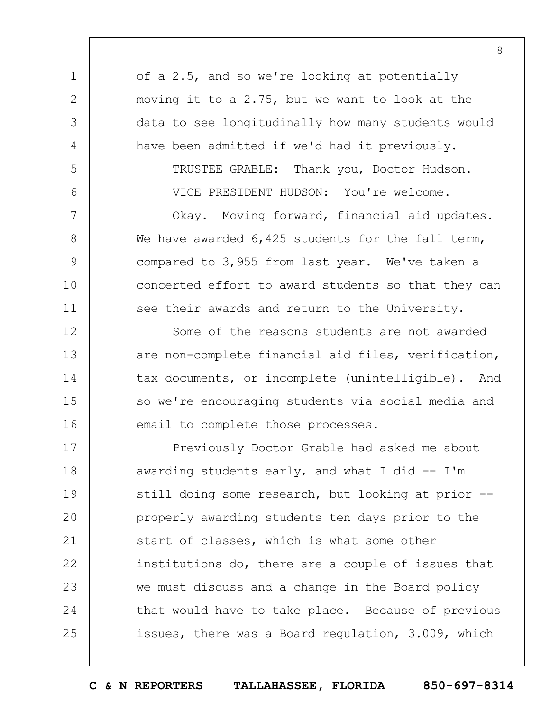1 2 3 4 5 6 7 8 9 10 11 12 13 14 15 16 17 18 19  $20$ 21 22 of a 2.5, and so we're looking at potentially moving it to a 2.75, but we want to look at the data to see longitudinally how many students would have been admitted if we'd had it previously. TRUSTEE GRABLE: Thank you, Doctor Hudson. VICE PRESIDENT HUDSON: You're welcome. Okay. Moving forward, financial aid updates. We have awarded 6,425 students for the fall term, compared to 3,955 from last year. We've taken a concerted effort to award students so that they can see their awards and return to the University. Some of the reasons students are not awarded are non-complete financial aid files, verification, tax documents, or incomplete (unintelligible). And so we're encouraging students via social media and email to complete those processes. Previously Doctor Grable had asked me about awarding students early, and what I did  $-$  I'm still doing some research, but looking at prior -properly awarding students ten days prior to the start of classes, which is what some other institutions do, there are a couple of issues that

we must discuss and a change in the Board policy that would have to take place. Because of previous issues, there was a Board regulation, 3.009, which

23

24

25

**C & N REPORTERS TALLAHASSEE, FLORIDA 850-697-8314**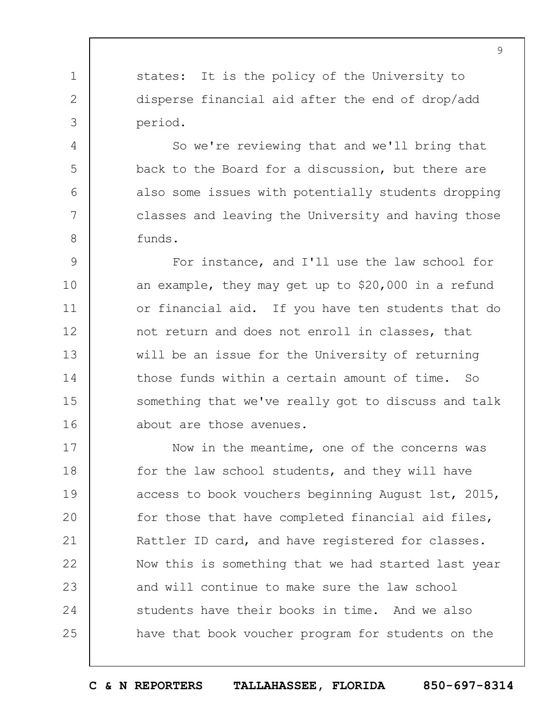states: It is the policy of the University to disperse financial aid after the end of drop/add period.

1

2

3

4

5

6

7

8

So we're reviewing that and we'll bring that back to the Board for a discussion, but there are also some issues with potentially students dropping classes and leaving the University and having those funds.

9 10 11 12 13 14 15 16 For instance, and I'll use the law school for an example, they may get up to \$20,000 in a refund or financial aid. If you have ten students that do not return and does not enroll in classes, that will be an issue for the University of returning those funds within a certain amount of time. So something that we've really got to discuss and talk about are those avenues.

17 18 19  $20$ 21 22 23 24 25 Now in the meantime, one of the concerns was for the law school students, and they will have access to book vouchers beginning August 1st, 2015, for those that have completed financial aid files, Rattler ID card, and have registered for classes. Now this is something that we had started last year and will continue to make sure the law school students have their books in time. And we also have that book voucher program for students on the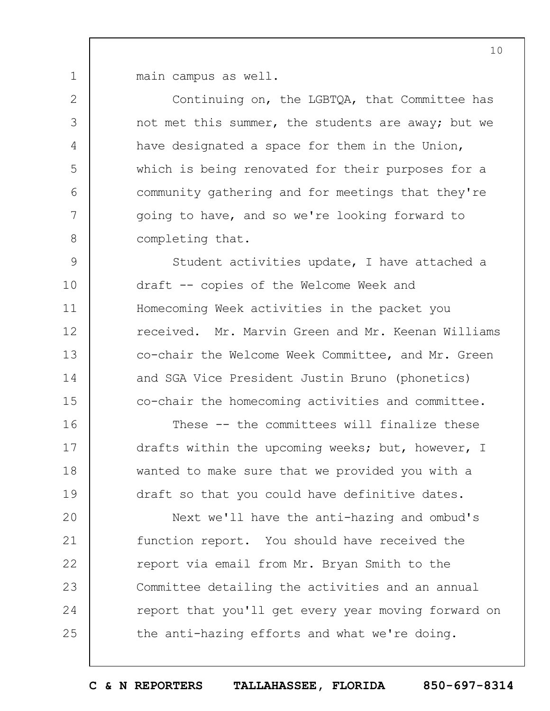1 main campus as well.

2

3

4

5

6

7

8

Continuing on, the LGBTQA, that Committee has not met this summer, the students are away; but we have designated a space for them in the Union, which is being renovated for their purposes for a community gathering and for meetings that they're going to have, and so we're looking forward to completing that.

9 10 11 12 13 14 15 Student activities update, I have attached a draft -- copies of the Welcome Week and Homecoming Week activities in the packet you received. Mr. Marvin Green and Mr. Keenan Williams co-chair the Welcome Week Committee, and Mr. Green and SGA Vice President Justin Bruno (phonetics) co-chair the homecoming activities and committee.

16 17 18 19 These -- the committees will finalize these drafts within the upcoming weeks; but, however, I wanted to make sure that we provided you with a draft so that you could have definitive dates.

 $20$ 21 22 23 24 25 Next we'll have the anti-hazing and ombud's function report. You should have received the report via email from Mr. Bryan Smith to the Committee detailing the activities and an annual report that you'll get every year moving forward on the anti-hazing efforts and what we're doing.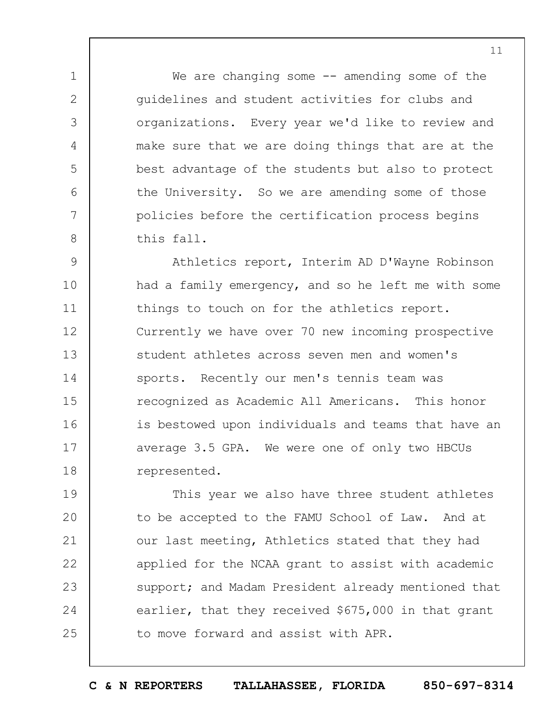We are changing some  $-$  amending some of the guidelines and student activities for clubs and organizations. Every year we'd like to review and make sure that we are doing things that are at the best advantage of the students but also to protect the University. So we are amending some of those policies before the certification process begins this fall.

1

2

3

4

5

6

7

8

9 10 11 12 13 14 15 16 17 18 Athletics report, Interim AD D'Wayne Robinson had a family emergency, and so he left me with some things to touch on for the athletics report. Currently we have over 70 new incoming prospective student athletes across seven men and women's sports. Recently our men's tennis team was recognized as Academic All Americans. This honor is bestowed upon individuals and teams that have an average 3.5 GPA. We were one of only two HBCUs represented.

19  $20$ 21 22 23 24 25 This year we also have three student athletes to be accepted to the FAMU School of Law. And at our last meeting, Athletics stated that they had applied for the NCAA grant to assist with academic support; and Madam President already mentioned that earlier, that they received \$675,000 in that grant to move forward and assist with APR.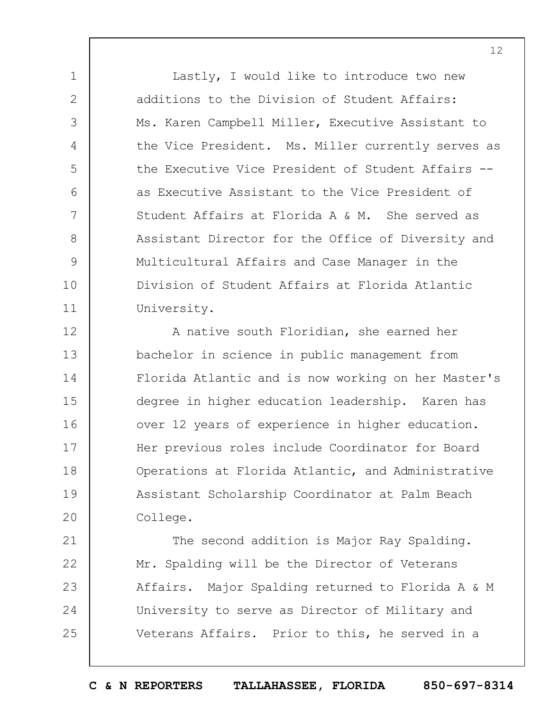Lastly, I would like to introduce two new additions to the Division of Student Affairs: Ms. Karen Campbell Miller, Executive Assistant to the Vice President. Ms. Miller currently serves as the Executive Vice President of Student Affairs - as Executive Assistant to the Vice President of Student Affairs at Florida A & M. She served as Assistant Director for the Office of Diversity and Multicultural Affairs and Case Manager in the Division of Student Affairs at Florida Atlantic University.

1

2

3

4

5

6

7

8

9

10

11

21

22

23

24

25

12 13 14 15 16 17 18 19  $20$ A native south Floridian, she earned her bachelor in science in public management from Florida Atlantic and is now working on her Master's degree in higher education leadership. Karen has over 12 years of experience in higher education. Her previous roles include Coordinator for Board Operations at Florida Atlantic, and Administrative Assistant Scholarship Coordinator at Palm Beach College.

The second addition is Major Ray Spalding. Mr. Spalding will be the Director of Veterans Affairs. Major Spalding returned to Florida A & M University to serve as Director of Military and Veterans Affairs. Prior to this, he served in a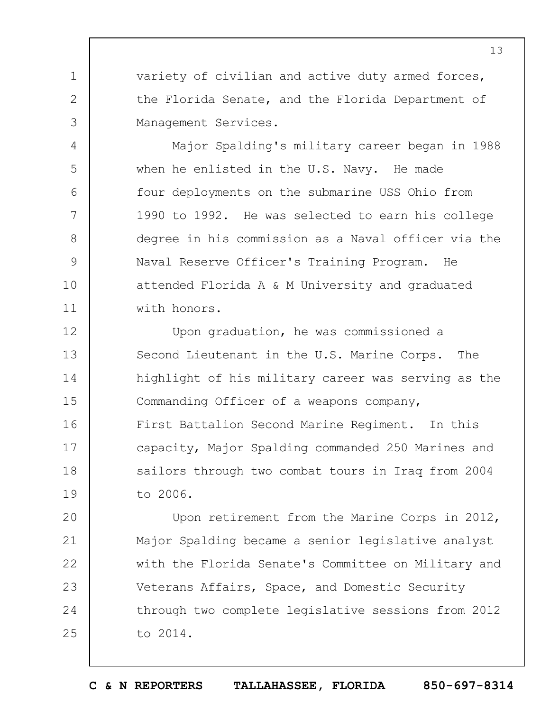variety of civilian and active duty armed forces, the Florida Senate, and the Florida Department of Management Services.

1

2

3

4

5

6

7

8

9

10

11

Major Spalding's military career began in 1988 when he enlisted in the U.S. Navy. He made four deployments on the submarine USS Ohio from 1990 to 1992. He was selected to earn his college degree in his commission as a Naval officer via the Naval Reserve Officer's Training Program. He attended Florida A & M University and graduated with honors.

12 13 14 15 16 17 18 19 Upon graduation, he was commissioned a Second Lieutenant in the U.S. Marine Corps. The highlight of his military career was serving as the Commanding Officer of a weapons company, First Battalion Second Marine Regiment. In this capacity, Major Spalding commanded 250 Marines and sailors through two combat tours in Iraq from 2004 to 2006.

 $20$ 21 22 23 24 25 Upon retirement from the Marine Corps in 2012, Major Spalding became a senior legislative analyst with the Florida Senate's Committee on Military and Veterans Affairs, Space, and Domestic Security through two complete legislative sessions from 2012 to 2014.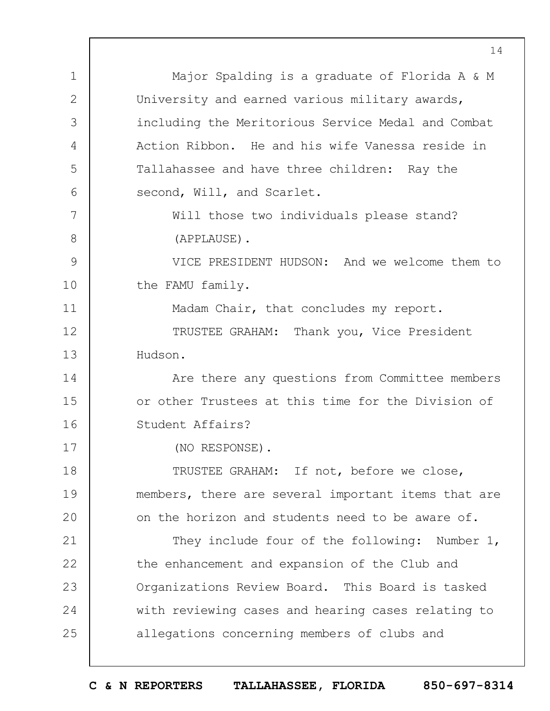1 2 3 4 5 6 7 8 9 10 11 12 13 14 15 16 17 18 19  $20$ 21 22 23 24 25 Major Spalding is a graduate of Florida A & M University and earned various military awards, including the Meritorious Service Medal and Combat Action Ribbon. He and his wife Vanessa reside in Tallahassee and have three children: Ray the second, Will, and Scarlet. Will those two individuals please stand? (APPLAUSE). VICE PRESIDENT HUDSON: And we welcome them to the FAMU family. Madam Chair, that concludes my report. TRUSTEE GRAHAM: Thank you, Vice President Hudson. Are there any questions from Committee members or other Trustees at this time for the Division of Student Affairs? (NO RESPONSE). TRUSTEE GRAHAM: If not, before we close, members, there are several important items that are on the horizon and students need to be aware of. They include four of the following: Number 1, the enhancement and expansion of the Club and Organizations Review Board. This Board is tasked with reviewing cases and hearing cases relating to allegations concerning members of clubs and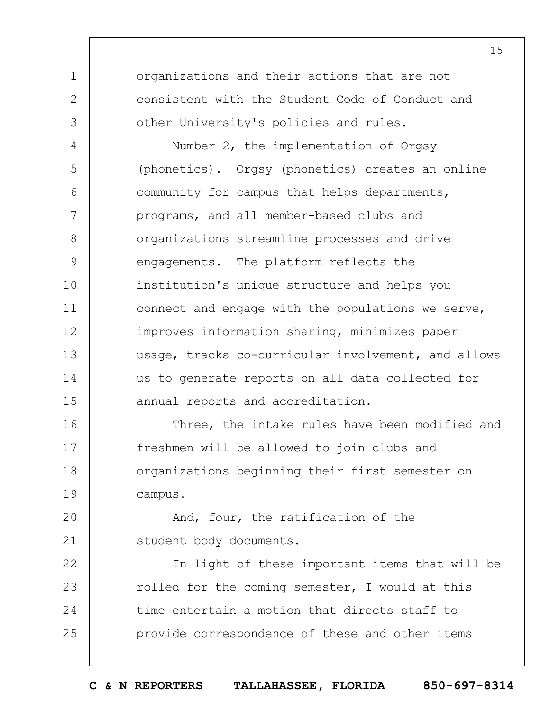organizations and their actions that are not consistent with the Student Code of Conduct and other University's policies and rules.

1

2

3

4 5 6 7 8 9 10 11 12 13 14 15 Number 2, the implementation of Orgsy (phonetics). Orgsy (phonetics) creates an online community for campus that helps departments, programs, and all member-based clubs and organizations streamline processes and drive engagements. The platform reflects the institution's unique structure and helps you connect and engage with the populations we serve, improves information sharing, minimizes paper usage, tracks co-curricular involvement, and allows us to generate reports on all data collected for annual reports and accreditation.

16 17 18 19 Three, the intake rules have been modified and freshmen will be allowed to join clubs and organizations beginning their first semester on campus.

 $20$ 21 And, four, the ratification of the student body documents.

22 23 24 25 In light of these important items that will be rolled for the coming semester, I would at this time entertain a motion that directs staff to provide correspondence of these and other items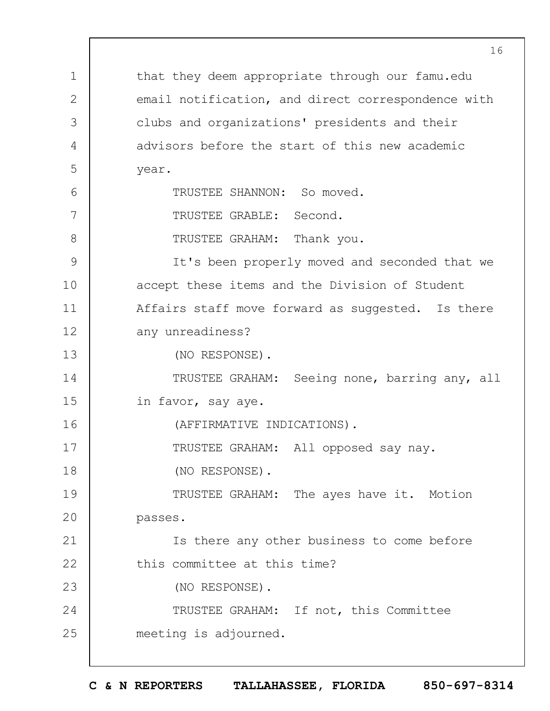1 2 3 4 5 6 7 8 9 10 11 12 13 14 15 16 17 18 19  $20$ 21 22 23 24 25 that they deem appropriate through our famu.edu email notification, and direct correspondence with clubs and organizations' presidents and their advisors before the start of this new academic year. TRUSTEE SHANNON: So moved. TRUSTEE GRABLE: Second. TRUSTEE GRAHAM: Thank you. It's been properly moved and seconded that we accept these items and the Division of Student Affairs staff move forward as suggested. Is there any unreadiness? (NO RESPONSE). TRUSTEE GRAHAM: Seeing none, barring any, all in favor, say aye. (AFFIRMATIVE INDICATIONS). TRUSTEE GRAHAM: All opposed say nay. (NO RESPONSE). TRUSTEE GRAHAM: The ayes have it. Motion passes. Is there any other business to come before this committee at this time? (NO RESPONSE). TRUSTEE GRAHAM: If not, this Committee meeting is adjourned.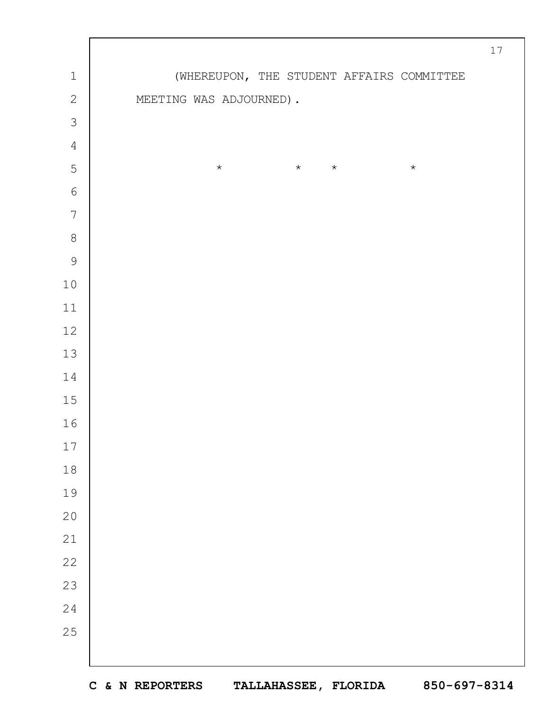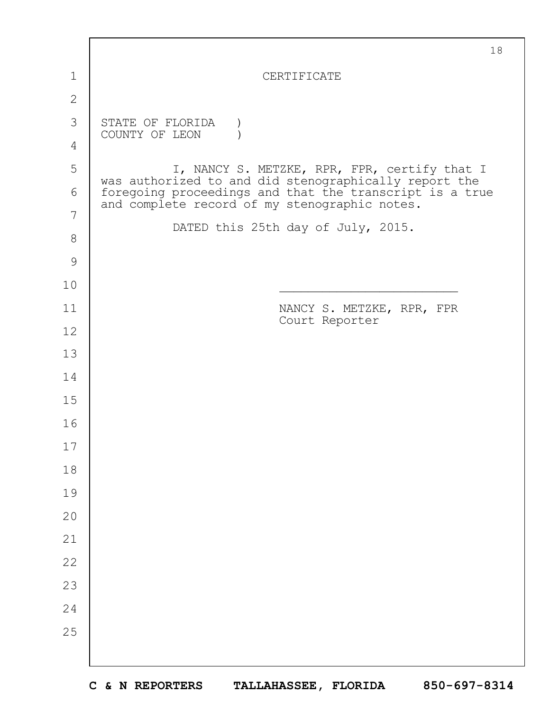|               | 18                                                                                                       |
|---------------|----------------------------------------------------------------------------------------------------------|
| 1             | CERTIFICATE                                                                                              |
| $\mathbf{2}$  |                                                                                                          |
| 3             | STATE OF FLORIDA<br>COUNTY OF LEON                                                                       |
| 4             |                                                                                                          |
| 5             | I, NANCY S. METZKE, RPR, FPR, certify that I<br>was authorized to and did stenographically report the    |
| 6             | foregoing proceedings and that the transcript is a true<br>and complete record of my stenographic notes. |
| 7             | DATED this 25th day of July, 2015.                                                                       |
| $8\,$         |                                                                                                          |
| $\mathcal{G}$ |                                                                                                          |
| 10            |                                                                                                          |
| 11            | NANCY S. METZKE, RPR, FPR<br>Court Reporter                                                              |
| 12            |                                                                                                          |
| 13            |                                                                                                          |
| 14            |                                                                                                          |
| 15            |                                                                                                          |
| 16            |                                                                                                          |
| 17            |                                                                                                          |
| 18            |                                                                                                          |
| 19            |                                                                                                          |
| 20            |                                                                                                          |
| 21            |                                                                                                          |
| 22            |                                                                                                          |
| 23            |                                                                                                          |
| 24            |                                                                                                          |
| 25            |                                                                                                          |
|               |                                                                                                          |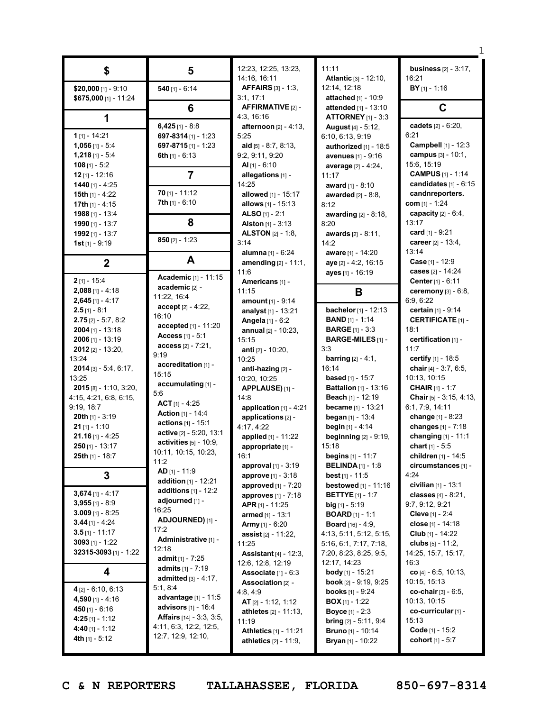|                          |                                              | 12:23, 12:25, 13:23,                          | 11:11                                              | <b>business</b> [2] - 3:17,                     |
|--------------------------|----------------------------------------------|-----------------------------------------------|----------------------------------------------------|-------------------------------------------------|
| \$                       | 5                                            | 14:16, 16:11                                  | Atlantic [3] - 12:10,                              | 16:21                                           |
| \$20,000 [1] - 9:10      | 540 $[1] - 6:14$                             | <b>AFFAIRS</b> [3] - 1:3,                     | 12:14, 12:18                                       | $BY$ [1] - 1:16                                 |
| \$675,000 $[1] - 11:24$  |                                              | 3:1, 17:1                                     | attached [1] - 10:9                                |                                                 |
|                          | 6                                            | <b>AFFIRMATIVE [2] -</b>                      | attended [1] - 13:10                               | $\mathbf C$                                     |
| 1                        |                                              | 4:3, 16:16                                    | <b>ATTORNEY</b> [1] - 3:3                          |                                                 |
|                          | 6,425 $[1] - 8:8$                            | <b>afternoon</b> $[2] - 4:13$ ,               | <b>August</b> [4] - 5:12,                          | cadets [2] - 6:20,                              |
| 1 $[1] - 14:21$          | 697-8314 $[1]$ - 1:23                        | 5:25                                          | 6:10, 6:13, 9:19                                   | 6:21                                            |
| $1,056$ [1] - 5:4        | 697-8715 $[1] - 1:23$                        | aid $[5] - 8:7, 8:13$                         | authorized [1] - 18:5                              | Campbell [1] - 12:3                             |
| $1,218$ [1] - 5:4        | 6th $[1] - 6:13$                             | 9:2, 9:11, 9:20                               | avenues [1] - 9:16                                 | campus [3] - 10:1,                              |
| 108 $[1] - 5:2$          |                                              | Al $[1] - 6:10$                               | average [2] - 4:24,                                | 15:6, 15:19                                     |
| $12$ [1] - 12:16         | $\overline{7}$                               | allegations [1] -                             | 11:17                                              | <b>CAMPUS</b> [1] - 1:14                        |
| 1440 $[1] - 4:25$        |                                              | 14:25                                         | award $[1] - 8:10$                                 | candidates $[1] - 6:15$                         |
| 15th $[1] - 4:22$        | $70$ [1] - 11:12                             | allowed [1] - 15:17                           | <b>awarded</b> $[2] - 8:8$ ,                       | candnreporters.                                 |
| 17th $[1] - 4:15$        | <b>7th</b> $[1] - 6:10$                      | allows [1] - 15:13                            | 8:12                                               | com $[1] - 1:24$                                |
| $1988$ [1] - 13:4        |                                              | ALSO $[1] - 2:1$                              | awarding [2] - 8:18,                               | capacity $[2] - 6:4$ ,                          |
| 1990 $[1]$ - 13:7        | 8                                            | <b>Alston</b> $[1] - 3:13$                    | 8:20                                               | 13:17                                           |
| 1992 [1] - 13:7          |                                              | <b>ALSTON</b> [2] - 1:8,                      | <b>awards</b> [2] - 8:11,                          | card $[1] - 9:21$                               |
| 1st $[1] - 9:19$         | $850$ [2] - 1:23                             | 3:14                                          | 14:2                                               | career [2] - 13:4,                              |
|                          |                                              | alumna [1] - 6:24                             | aware [1] - 14:20                                  | 13:14                                           |
| $\mathbf 2$              | A                                            | amending [2] - 11:1,                          | aye [2] - 4:2, 16:15                               | Case [1] - 12:9                                 |
|                          |                                              | 11:6                                          | ayes [1] - 16:19                                   | cases [2] - 14:24                               |
| $2$ [1] - 15:4           | Academic [1] - 11:15                         | Americans [1] -                               |                                                    | <b>Center</b> [1] - $6:11$                      |
| $2,088$ [1] - 4:18       | academic [2] -                               | 11:15                                         | В                                                  | ceremony [3] - 6:8,                             |
| $2,645$ [1] - 4:17       | 11:22, 16:4                                  | amount [1] - 9:14                             |                                                    | 6:9, 6:22                                       |
| $2.5$ [1] - 8:1          | $accept [2] - 4:22,$<br>16:10                | analyst <sub>[1]</sub> - 13:21                | bachelor [1] - 12:13                               | certain [1] - 9:14                              |
| $2.75$ [2] - 5:7, 8:2    | accepted [1] - 11:20                         | Angela [1] - 6:2                              | <b>BAND</b> [1] - 1:14                             | <b>CERTIFICATE [1] -</b>                        |
| $2004$ [1] - 13:18       |                                              | annual [2] - 10:23,                           | <b>BARGE</b> $[1] - 3:3$                           | 18:1                                            |
| $2006$ [1] - 13:19       | Access $[1] - 5:1$<br>$access_{[2]} - 7:21,$ | 15:15                                         | <b>BARGE-MILES [1] -</b>                           | certification [1] -                             |
| $2012$ [2] - 13:20,      | 9:19                                         | anti [2] - 10:20,                             | 3:3                                                | 11:7                                            |
| 13:24                    | accreditation [1] -                          | 10:25                                         | <b>barring</b> $[2] - 4:1$ ,                       | certify $[1] - 18.5$                            |
| $2014$ [3] - 5:4, 6:17,  | 15:15                                        | anti-hazing [2] -                             | 16:14                                              | chair [4] - 3:7, 6:5,                           |
| 13:25                    | accumulating [1] -                           | 10:20, 10:25                                  | <b>based</b> [1] - 15:7                            | 10:13, 10:15                                    |
| $2015$ [8] - 1:10, 3:20, | 5:6                                          | APPLAUSE) [1] -                               | <b>Battalion</b> [1] - 13:16                       | <b>CHAIR</b> $[1] - 1:7$                        |
| 4:15, 4:21, 6:8, 6:15,   | ACT $[1] - 4:25$                             | 14:8                                          | <b>Beach</b> $[1] - 12:19$                         | <b>Chair</b> [5] - $3:15$ , $4:13$ ,            |
| 9:19, 18:7               | <b>Action [1] - 14:4</b>                     | application [1] - 4:21                        | became [1] - 13:21                                 | 6:1, 7:9, 14:11                                 |
| <b>20th</b> $[1]$ - 3:19 | actions [1] - 15:1                           | applications [2] -                            | began [1] - 13:4                                   | change [1] - 8:23                               |
| $21$ [1] - 1:10          | active [2] - 5:20, 13:1                      | 4:17, 4:22                                    | begin [1] - 4:14                                   | changes [1] - 7:18                              |
| $21.16$ [1] - 4:25       | $activities [5] - 10:9,$                     | applied [1] - 11:22                           | <b>beginning</b> [2] - 9:19,                       | changing [1] - 11:1                             |
| $250$ [1] - 13:17        | 10:11, 10:15, 10:23,                         | appropriate [1] -                             | 15:18                                              | chart $[1] - 5:5$                               |
| 25th [1] - 18:7          | 11:2                                         | 16:1                                          | <b>begins</b> $[1] - 11:7$                         | children [1] - 14:5                             |
|                          | AD [1] - 11:9                                | approval [1] - 3:19                           | <b>BELINDA</b> $[1] - 1:8$                         | circumstances [1] -                             |
| 3                        | addition [1] - 12:21                         | approve [1] - 3:18                            | <b>best</b> [1] - 11:5                             | 4:24                                            |
| $3,674$ [1] - 4:17       | additions $[1]$ - 12:2                       | approved [1] - 7:20                           | <b>bestowed</b> $[1] - 11:16$                      | civilian $[1] - 13:1$<br>classes $[4] - 8:21$ , |
| 3,955 [1] - $8:9$        | adjourned [1] -                              | approves [1] - 7:18<br><b>APR</b> [1] - 11:25 | <b>BETTYE</b> [1] - 1:7<br><b>big</b> $[1] - 5:19$ | 9:7, 9:12, 9:21                                 |
| 3.009 [1] - 8:25         | 16:25                                        | <b>armed</b> $[1] - 13:1$                     | <b>BOARD</b> $[1] - 1:1$                           | <b>Cleve</b> [1] - $2:4$                        |
| $3.44$ [1] - 4:24        | ADJOURNED) [1] -                             | <b>Army</b> $[1] - 6:20$                      | <b>Board</b> [16] - 4:9,                           | close [1] - 14:18                               |
| $3.5$ [1] - 11:17        | 17:2                                         | assist [2] - 11:22,                           | 4:13, 5:11, 5:12, 5:15,                            | Club $[1] - 14:22$                              |
| $3093$ [1] - 1:22        | Administrative [1] -                         | 11:25                                         | 5:16, 6:1, 7:17, 7:18,                             | clubs $[5] - 11:2$ ,                            |
| 32315-3093 [1] - 1:22    | 12:18                                        | <b>Assistant</b> $[4] - 12:3$ ,               | 7:20, 8:23, 8:25, 9:5,                             | 14:25, 15:7, 15:17,                             |
|                          | <b>admit</b> [1] - $7:25$                    | 12:6, 12:8, 12:19                             | 12:17, 14:23                                       | 16:3                                            |
| 4                        | <b>admits</b> $[1] - 7:19$                   | Associate $[1] - 6:3$                         | <b>body</b> [1] - 15:21                            | $co$ [4] - 6:5, 10:13,                          |
|                          | <b>admitted</b> $[3] - 4:17$ ,               | Association [2] -                             | <b>book</b> $[2] - 9:19, 9:25$                     | 10:15, 15:13                                    |
| $4$ [2] - 6:10, 6:13     | 5:1, 8:4                                     | 4:8, 4:9                                      | <b>books</b> $[1]$ - $9:24$                        | <b>co-chair</b> $[3] - 6:5$ ,                   |
| 4,590 $[1] - 4:16$       | advantage [1] - 11:5                         | AT $[2] - 1:12, 1:12$                         | <b>BOX</b> [1] - 1:22                              | 10:13, 10:15                                    |
| 450 $[1] - 6:16$         | <b>advisors</b> [1] - 16:4                   | <b>athletes</b> $[2] - 11:13$ ,               | <b>Boyce</b> $[1] - 2:3$                           | co-curricular [1] -                             |
| $4:25$ [1] - 1:12        | <b>Affairs</b> $[14] - 3:3, 3:5,$            | 11:19                                         | <b>bring</b> $[2] - 5:11, 9:4$                     | 15:13                                           |
| 4:40 $[1] - 1:12$        | 4:11, 6:3, 12:2, 12:5,                       | <b>Athletics</b> [1] - 11:21                  | <b>Bruno</b> [1] - 10:14                           | Code [1] - 15:2                                 |
| 4th $[1] - 5:12$         | 12:7, 12:9, 12:10,                           | <b>athletics</b> $[2] - 11:9$ ,               | <b>Bryan</b> [1] - 10:22                           | cohort $[1] - 5:7$                              |
|                          |                                              |                                               |                                                    |                                                 |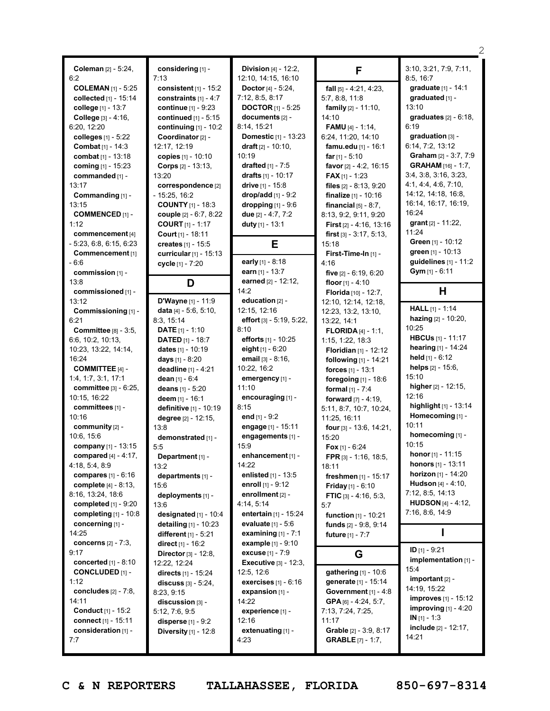|                               |                               |                                 |                                     | 2                            |
|-------------------------------|-------------------------------|---------------------------------|-------------------------------------|------------------------------|
| Coleman [2] - 5:24,           | considering [1] -             | Division [4] - 12:2,            | F                                   | 3:10, 3:21, 7:9, 7:11,       |
| 6:2                           | 7:13                          | 12:10, 14:15, 16:10             |                                     | 8:5, 16:7                    |
| <b>COLEMAN [1] - 5:25</b>     | consistent $[1]$ - 15:2       | Doctor [4] - 5:24,              | fall $[5] - 4:21, 4:23,$            | graduate [1] - 14:1          |
| collected [1] - 15:14         | constraints $[1] - 4:7$       | 7:12, 8:5, 8:17                 | 5:7, 8:8, 11:8                      | graduated [1] -              |
| college [1] - 13:7            | continue [1] - 9:23           | <b>DOCTOR</b> [1] - 5:25        | <b>family</b> $[2] - 11:10$ ,       | 13:10                        |
| College [3] - 4:16,           | continued $[1] - 5:15$        | documents [2] -                 | 14:10                               | graduates $[2] - 6:18$ ,     |
| 6:20, 12:20                   | continuing $[1]$ - 10:2       | 8:14, 15:21                     | <b>FAMU</b> $[4] - 1:14$ ,          | 6:19                         |
| colleges [1] - 5:22           | Coordinator [2] -             | Domestic [1] - 13:23            | 6:24, 11:20, 14:10                  | graduation [3] -             |
| <b>Combat</b> [1] - 14:3      | 12:17, 12:19                  | draft $[2] - 10:10$ ,           | famu.edu [1] - 16:1                 | 6:14, 7:2, 13:12             |
| combat [1] - 13:18            | copies [1] - 10:10            | 10:19                           | far $[1] - 5:10$                    | Graham [2] - 3:7, 7:9        |
| coming [1] - 15:23            | Corps [2] - 13:13,            | drafted $[1] - 7:5$             | favor [2] - 4:2, 16:15              | <b>GRAHAM</b> [16] - 1:7,    |
| commanded [1] -               | 13:20                         | drafts $[1] - 10:17$            | <b>FAX</b> [1] - 1:23               | 3:4, 3:8, 3:16, 3:23,        |
| 13:17                         | correspondence [2]            | drive $[1] - 15:8$              | files $[2] - 8:13, 9:20$            | 4:1, 4:4, 4:6, 7:10,         |
|                               | $-15:25, 16:2$                | $drop/add [1] - 9:2$            | finalize $[1] - 10:16$              | 14:12, 14:18, 16:8,          |
| Commanding [1] -<br>13:15     | <b>COUNTY</b> [1] - 18:3      |                                 |                                     | 16:14, 16:17, 16:19,         |
| <b>COMMENCED [1] -</b>        |                               | dropping $[1]$ - $9:6$          | financial $[5] - 8.7$ ,             | 16:24                        |
|                               | couple [2] - 6:7, 8:22        | due [2] - 4:7, 7:2              | 8:13, 9:2, 9:11, 9:20               | grant $[2] - 11:22$ ,        |
| 1:12                          | <b>COURT</b> $[1] - 1:17$     | duty [1] - 13:1                 | <b>First</b> $[2] - 4:16$ , $13:16$ | 11:24                        |
| commencement [4]              | Court $[1] - 18:11$           |                                 | <b>first</b> $[3] - 3:17, 5:13,$    | Green [1] - 10:12            |
| $-5:23, 6:8, 6:15, 6:23$      | creates [1] - 15:5            | Е                               | 15:18                               | green [1] - 10:13            |
| Commencement [1]              | curricular [1] - 15:13        |                                 | First-Time-In [1] -                 | guidelines $[1] - 11:2$      |
| - 6:6                         | cycle [1] - 7:20              | early [1] - 8:18                | 4:16                                |                              |
| commission [1] -              |                               | earn [1] - 13:7                 | five $[2] - 6:19, 6:20$             | Gym [1] - 6:11               |
| 13:8                          | D                             | earned [2] - 12:12,             | floor $[1] - 4:10$                  |                              |
| commissioned [1] -            |                               | 14:2                            | Florida [10] - 12:7,                | н                            |
| 13:12                         | D'Wayne [1] - 11:9            | education [2] -                 | 12:10, 12:14, 12:18,                | <b>HALL</b> $[1] - 1:14$     |
| Commissioning [1] -           | data $[4] - 5:6, 5:10,$       | 12:15, 12:16                    | 12:23, 13:2, 13:10,                 |                              |
| 6:21                          | 8:3, 15:14                    | effort $[3] - 5:19, 5:22,$      | 13:22, 14:1                         | hazing [2] - 10:20,<br>10:25 |
| <b>Committee [8] - 3:5,</b>   | <b>DATE</b> $[1] - 1:10$      | 8:10                            | <b>FLORIDA</b> $[4] - 1:1$ ,        |                              |
| 6:6, 10:2, 10:13,             | <b>DATED</b> $[1] - 18:7$     | efforts [1] - 10:25             | 1:15, 1:22, 18:3                    | <b>HBCUs</b> [1] - 11:17     |
| 10:23, 13:22, 14:14,          | dates [1] - 10:19             | eight $[1] - 6:20$              | Floridian [1] - 12:12               | hearing [1] - 14:24          |
| 16:24                         | days [1] - 8:20               | email $[3] - 8:16$ ,            | following [1] - 14:21               | held $[1]$ - 6:12            |
| <b>COMMITTEE [4] -</b>        | deadline [1] - 4:21           | 10:22, 16:2                     | forces [1] - 13:1                   | helps [2] - 15:6,            |
| 1:4, 1:7, 3:1, 17:1           | dean [1] - 6:4                | emergency [1] -                 | foregoing [1] - 18:6                | 15:10                        |
| committee [3] - 6:25,         | deans [1] - 5:20              | 11:10                           | formal $[1] - 7:4$                  | higher [2] - 12:15,          |
| 10:15, 16:22                  | deem [1] - 16:1               | encouraging [1] -               | forward [7] - 4:19.                 | 12:16                        |
| committees [1] -              | definitive [1] - 10:19        | 8:15                            | 5:11, 8:7, 10:7, 10:24,             | highlight [1] - 13:14        |
| 10:16                         | degree [2] - 12:15,           | end $[1] - 9:2$                 | 11:25, 16:11                        | Homecoming [1] -             |
| community [2] -               | 13:8                          | engage [1] - 15:11              | four [3] - 13:6, 14:21,             | 10:11                        |
| 10:6, 15:6                    | demonstrated [1] -            | engagements [1] -               | 15:20                               | homecoming [1] -             |
| company [1] - 13:15           | 5:5                           | 15:9                            | Fox $[1] - 6:24$                    | 10:15                        |
| compared $[4] - 4:17$ ,       | Department [1] -              | enhancement [1] -               | FPR [3] - 1:16, 18:5,               | <b>honor</b> [1] - 11:15     |
| 4:18, 5:4, 8:9                | 13:2                          | 14:22                           | 18:11                               | honors [1] - 13:11           |
| compares $[1] - 6:16$         | departments [1] -             | enlisted [1] - 13:5             | freshmen [1] - 15:17                | horizon [1] - 14:20          |
| complete $[4] - 8:13$ ,       | 15:6                          | enroll [1] - 9:12               | <b>Friday</b> [1] - $6:10$          | Hudson [4] - 4:10.           |
| 8:16, 13:24, 18:6             | deployments [1] -             | enrollment [2] -                | <b>FTIC</b> [3] - 4:16, 5:3,        | 7:12, 8:5, 14:13             |
| completed $[1]$ - $9:20$      | 13:6                          | 4:14, 5:14                      | 5:7                                 | <b>HUDSON</b> [4] - 4:12,    |
| completing $[1]$ - 10:8       | designated [1] - 10:4         | entertain [1] - 15:24           | <b>function</b> $[1] - 10:21$       | 7:16, 8:6, 14:9              |
| concerning [1] -              | detailing [1] - 10:23         | <b>evaluate</b> $[1] - 5.6$     | funds [2] - 9:8, 9:14               |                              |
| 14:25                         | <b>different</b> $[1] - 5:21$ | examining $[1] - 7:1$           | <b>future</b> $[1] - 7:7$           | ı                            |
| concerns $[2] - 7:3,$         | direct $[1] - 16:2$           | example $[1] - 9:10$            |                                     |                              |
| 9:17                          | Director [3] - 12:8,          | <b>excuse</b> $[1] - 7:9$       | G                                   | ID $[1] - 9:21$              |
| <b>concerted</b> $[1] - 8:10$ | 12:22, 12:24                  | <b>Executive</b> $[3] - 12:3$ , |                                     | implementation [1] -         |
| <b>CONCLUDED [1] -</b>        | directs [1] - 15:24           | 12:5, 12:6                      | gathering [1] - 10:6                | 15:4                         |
| 1:12                          | <b>discuss</b> $[3] - 5:24$ , | exercises [1] - 6:16            | generate [1] - 15:14                | important [2] -              |
| concludes [2] - 7:8,          | 8:23, 9:15                    | expansion [1] -                 | Government $[1] - 4:8$              | 14:19, 15:22                 |
| 14:11                         | discussion [3] -              | 14:22                           | $GPA$ [6] - 4:24, 5:7,              | <b>improves</b> [1] - 15:12  |
| Conduct [1] - 15:2            | 5:12, 7:6, 9:5                | experience [1] -                | 7:13, 7:24, 7:25,                   | improving $[1] - 4:20$       |
| connect [1] - 15:11           | <b>disperse</b> $[1] - 9:2$   | 12:16                           | 11:17                               | $IN [1] - 1:3$               |
| consideration [1] -           | <b>Diversity</b> [1] - 12:8   | extenuating [1] -               | Grable [2] - 3:9, 8:17              | include [2] - 12:17,         |
| 7:7                           |                               | 4:23                            | <b>GRABLE</b> [7] - 1:7,            | 14:21                        |
|                               |                               |                                 |                                     |                              |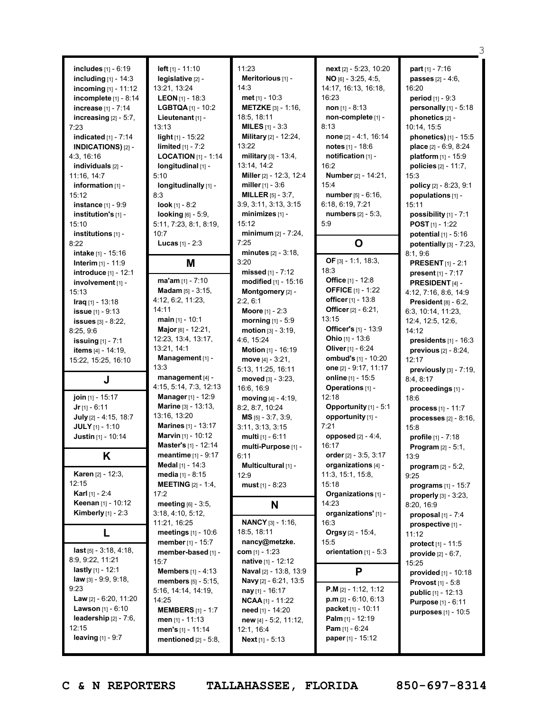|                                                        |                                                      |                               |                                                       | З                            |
|--------------------------------------------------------|------------------------------------------------------|-------------------------------|-------------------------------------------------------|------------------------------|
|                                                        |                                                      |                               |                                                       |                              |
| <b>includes</b> $[1] - 6:19$                           | left $[1] - 11:10$                                   | 11:23                         | next [2] - 5:23, 10:20                                | part $[1] - 7:16$            |
| including $[1]$ - 14:3                                 | legislative [2] -                                    | Meritorious [1] -             | $NO$ [6] - 3:25, 4:5,                                 | <b>passes</b> $[2] - 4:6$    |
| incoming $[1] - 11:12$                                 | 13:21, 13:24                                         | 14:3                          | 14:17, 16:13, 16:18,                                  | 16:20                        |
| incomplete [1] - 8:14                                  | <b>LEON</b> $[1]$ - 18:3                             | met $[1] - 10:3$              | 16:23                                                 | <b>period</b> $[1] - 9:3$    |
| increase [1] - 7:14                                    | LGBTQA $[1]$ - 10:2                                  | <b>METZKE</b> [3] - 1:16,     | non $[1] - 8:13$                                      | personally [1] - 5:18        |
| increasing $[2] - 5:7$ ,                               | Lieutenant [1] -                                     | 18:5, 18:11                   | non-complete [1] -                                    | phonetics [2] -              |
| 7:23                                                   | 13:13                                                | <b>MILES</b> $[1]$ - 3:3      | 8:13                                                  | 10:14, 15:5                  |
| indicated $[1] - 7:14$                                 | light $[1]$ - 15:22                                  | Military [2] - 12:24,         | none [2] - 4:1, 16:14                                 | phonetics) [1] - 15:5        |
| <b>INDICATIONS)</b> [2] -                              | <b>limited</b> $[1] - 7:2$                           | 13:22                         | notes [1] - 18:6                                      | place $[2] - 6:9, 8:24$      |
| 4:3, 16:16                                             | <b>LOCATION</b> $[1]$ - 1:14                         | military [3] - 13:4,          | notification [1] -                                    | platform $[1] - 15:9$        |
| individuals [2] -                                      | longitudinal [1] -                                   | 13:14, 14:2                   | 16:2                                                  | policies $[2] - 11:7$ ,      |
| 11:16, 14:7                                            | 5:10                                                 | Miller [2] - 12:3, 12:4       | <b>Number</b> [2] - 14:21,                            | 15:3                         |
| information [1] -                                      | longitudinally [1] -                                 | miller $[1] - 3:6$            | 15:4                                                  | policy [2] - 8:23, 9:1       |
| 15:12                                                  | 8:3                                                  | <b>MILLER</b> $[5] - 3:7$ ,   | <b>number</b> $[5] - 6:16$ ,                          | populations [1] -            |
| <b>instance</b> $[1] - 9.9$                            | <b>look</b> $[1] - 8:2$                              | 3:9, 3:11, 3:13, 3:15         | 6:18, 6:19, 7:21                                      | 15:11                        |
| institution's [1] -                                    | <b>looking</b> $[6] - 5:9$ ,                         | $minimizes$ [1] -             | <b>numbers</b> $[2] - 5:3$ ,                          | possibility [1] - 7:1        |
| 15:10                                                  | 5:11, 7:23, 8:1, 8:19,                               | 15:12                         | 5:9                                                   | <b>POST</b> $[1] - 1:22$     |
| institutions [1] -                                     | 10:7                                                 | minimum [2] - 7:24,           |                                                       | potential [1] - 5:16         |
| 8:22                                                   | <b>Lucas</b> $[1] - 2:3$                             | 7:25                          | O                                                     | potentially $[3]$ - $7:23$ , |
| intake [1] - 15:16                                     |                                                      | minutes $[2] - 3:18$ ,        |                                                       | 8:1, 9:6                     |
| <b>Interim</b> $[1] - 11:9$                            | M                                                    | 3:20                          | OF $[3] - 1:1, 18:3,$                                 | <b>PRESENT</b> $[1]$ - 2:1   |
| introduce [1] - 12:1                                   |                                                      | missed $[1] - 7:12$           | 18:3                                                  | present $[1] - 7:17$         |
| involvement [1] -                                      | ma'am [1] - 7:10                                     | modified [1] - 15:16          | Office [1] - 12:8                                     | PRESIDENT [4] -              |
| 15:13                                                  | Madam [5] - 3:15.                                    | Montgomery [2] -              | <b>OFFICE</b> [1] - 1:22                              | 4:12, 7:16, 8:6, 14:9        |
| $Iraq$ [1] - 13:18                                     | 4:12, 6:2, 11:23,                                    | 2:2, 6:1                      | officer [1] - 13:8                                    | President $[8] - 6:2$ ,      |
| <b>issue</b> [1] - 9:13                                | 14:11                                                | <b>Moore</b> $[1] - 2:3$      | Officer [2] - 6:21,                                   | 6:3, 10:14, 11:23,           |
| <b>issues</b> $[3] - 8:22$ ,                           | $main$ [1] - 10:1                                    | morning [1] - 5:9             | 13:15                                                 | 12:4, 12:5, 12:6,            |
| 8:25,9:6                                               | Major [6] - 12:21,                                   | motion $[3] - 3:19$ ,         | Officer's [1] - 13:9                                  | 14:12                        |
| <b>issuing</b> [1] - 7:1                               | 12:23, 13:4, 13:17,                                  | 4:6, 15:24                    | Ohio $[1] - 13:6$                                     | presidents $[1]$ - 16:3      |
| <b>items</b> $[4] - 14:19$ ,                           | 13:21, 14:1                                          | Motion [1] - 16:19            | Oliver [1] - 6:24                                     |                              |
|                                                        |                                                      |                               |                                                       |                              |
|                                                        |                                                      |                               |                                                       | previous [2] - 8:24,         |
| 15:22, 15:25, 16:10                                    | Management [1] -<br>13:3                             | move $[4] - 3:21$ ,           | ombud's [1] - 10:20                                   | 12:17                        |
|                                                        | management [4] -                                     | 5:13, 11:25, 16:11            | one [2] - 9:17, 11:17                                 | previously [3] - 7:19,       |
| J                                                      | 4:15, 5:14, 7:3, 12:13                               | moved $[3] - 3:23$ ,          | online [1] - 15:5<br>Operations [1] -                 | 8:4, 8:17                    |
|                                                        | Manager [1] - 12:9                                   | 16:6, 16:9                    | 12:18                                                 | proceedings [1] -            |
| join [1] - 15:17                                       | Marine [3] - 13:13,                                  | moving [4] - 4:19,            |                                                       | 18:6                         |
| $Jr$ [1] - 6:11                                        |                                                      | 8:2, 8:7, 10:24               | Opportunity [1] - 5:1                                 | <b>process</b> $[1] - 11:7$  |
| July [2] - 4:15, 18:7                                  | 13:16, 13:20<br>Marines [1] - 13:17                  | $MS$ [5] - 3:7, 3:9,          | opportunity [1] -                                     | processes $[2] - 8:16$ ,     |
| JULY [1] - 1:10                                        |                                                      | 3:11, 3:13, 3:15              | 7:21                                                  | 15:8                         |
| Justin [1] - 10:14                                     | Marvin [1] - 10:12                                   | multi [1] - 6:11              | opposed $[2] - 4:4$ ,<br>16 <sup>-</sup> 17           | profile [1] - 7:18           |
|                                                        | Master's [1] - 12:14<br><b>meantime</b> $[1] - 9:17$ | multi-Purpose [1] -           | order [2] - 3:5, 3:17                                 | Program [2] - 5:1,           |
| Κ                                                      |                                                      | 6:11                          |                                                       | 13:9                         |
| <b>Karen [2] - 12:3,</b>                               | Medal [1] - 14:3                                     | Multicultural [1] -           | organizations [4] -                                   | program [2] - 5:2,           |
| 12:15                                                  | media [1] - 8:15                                     | 12:9                          | 11:3, 15:1, 15:8,<br>15:18                            | 9:25                         |
| <b>Karl</b> [1] - 2:4                                  | <b>MEETING</b> $[2] - 1:4$ ,                         | <b>must</b> $[1] - 8:23$      |                                                       | programs $[1]$ - 15:7        |
|                                                        | 17:2                                                 |                               | Organizations [1] -                                   | properly [3] - 3:23,         |
| <b>Keenan</b> [1] - 10:12                              | meeting $[6]$ - 3:5,                                 | N                             | 14:23                                                 | 8:20, 16:9                   |
| Kimberly $[1]$ - 2:3                                   | 3:18, 4:10, 5:12,                                    |                               | organizations' [1] -                                  | proposal $[1]$ - $7:4$       |
|                                                        | 11:21, 16:25                                         | <b>NANCY</b> [3] - 1:16,      | 16:3                                                  | prospective [1] -            |
| L                                                      | meetings [1] - 10:6                                  | 18:5, 18:11                   | <b>Orgsy</b> [2] - 15:4,                              | 11:12                        |
| $last_{[5]} - 3:18, 4:18,$                             | member $[1] - 15:7$                                  | nancy@metzke.                 | 15:5                                                  | protect $[1] - 11:5$         |
| 8:9, 9:22, 11:21                                       | member-based [1] -                                   | com $[1] - 1:23$              | orientation $[1] - 5:3$                               | provide [2] - 6:7,           |
|                                                        | 15:7                                                 | <b>native</b> $[1] - 12:12$   |                                                       | 15:25                        |
| lastly $[1] - 12:1$                                    | <b>Members</b> $[1] - 4:13$                          | Naval [2] - 13:8, 13:9        | P                                                     | provided [1] - 10:18         |
| law [3] - 9:9, 9:18,<br>9:23                           | members [5] - 5:15,                                  | Navy [2] - 6:21, 13:5         |                                                       | <b>Provost</b> [1] - 5:8     |
|                                                        | 5:16, 14:14, 14:19,                                  | $\frac{1}{2}$ nay [1] - 16:17 | <b>P.M</b> [2] - 1:12, 1:12                           | <b>public</b> $[1] - 12:13$  |
| <b>Law</b> $[2] - 6:20, 11:20$                         | 14:25                                                | <b>NCAA</b> $[1]$ - 11:22     | $p.m$ [2] - 6:10, 6:13                                | <b>Purpose</b> [1] - 6:11    |
| <b>Lawson</b> $[1] - 6:10$<br>leadership $[2] - 7:6$ , | <b>MEMBERS</b> $[1] - 1:7$                           | need [1] - 14:20              | packet [1] - 10:11                                    | purposes $[1] - 10:5$        |
| 12:15                                                  | men $[1] - 11:13$                                    | $new_{[4]} - 5:2, 11:12,$     | <b>Palm</b> [1] - 12:19                               |                              |
| <b>leaving</b> [1] - 9:7                               | men's $[1] - 11:14$<br>mentioned [2] - 5:8,          | 12:1, 16:4<br>Next [1] - 5:13 | <b>Pam</b> $[1] - 6:24$<br><b>paper</b> $[1] - 15:12$ |                              |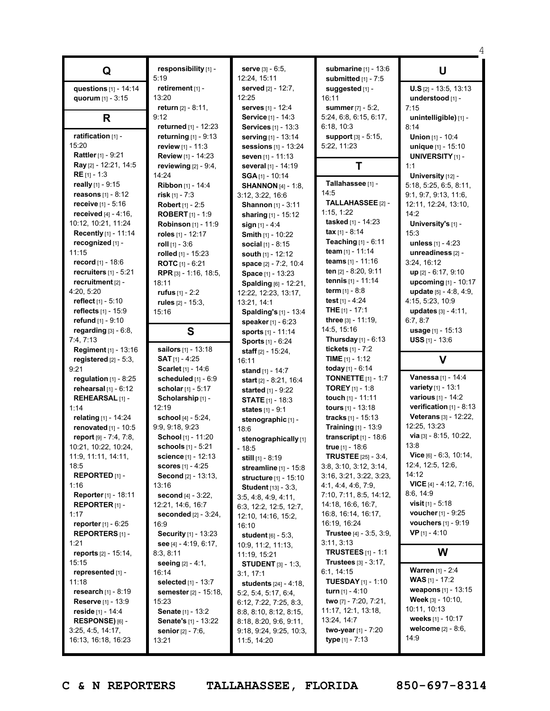|                                 | responsibility [1] -                            | <b>serve</b> $[3] - 6:5$ ,                      | submarine [1] - 13:6                           | U                                                   |
|---------------------------------|-------------------------------------------------|-------------------------------------------------|------------------------------------------------|-----------------------------------------------------|
| Q                               | 5:19                                            | 12:24, 15:11                                    | submitted [1] - 7:5                            |                                                     |
| questions [1] - 14:14           | retirement [1] -                                | <b>served</b> $[2] - 12:7$ ,                    | suggested [1] -                                | $U.S$ [2] - 13:5, 13:13                             |
| quorum $[1] - 3:15$             | 13:20                                           | 12:25                                           | 16:11                                          | understood [1] -                                    |
|                                 | <b>return</b> $[2] - 8:11$ ,                    | serves [1] - 12:4                               | summer [7] - 5:2,                              | 7:15                                                |
| R                               | 9:12                                            | Service [1] - 14:3                              | 5:24, 6:8, 6:15, 6:17,                         | unintelligible) [1] -                               |
|                                 | returned [1] - 12:23                            | <b>Services</b> [1] - 13:3                      | 6:18, 10:3                                     | 8:14                                                |
| ratification [1] -              | returning [1] - 9:13                            | serving [1] - 13:14                             | support [3] - 5:15,                            | Union [1] - 10:4                                    |
| 15:20                           | review $[1] - 11:3$                             | <b>sessions</b> [1] - 13:24                     | 5:22, 11:23                                    |                                                     |
| Rattler [1] - 9:21              | Review [1] - 14:23                              | <b>seven</b> [1] - 11:13                        |                                                | unique [1] - 15:10<br><b>UNIVERSITY</b> [1] -       |
| Ray [2] - 12:21, 14:5           | reviewing $[2] - 9:4$ ,                         | several [1] - 14:19                             | Τ                                              | 1:1                                                 |
| RE [1] - 1:3                    | 14:24                                           | $SGA$ [1] - 10:14                               |                                                | University [12] -                                   |
| really [1] - 9:15               | Ribbon [1] - 14:4                               | <b>SHANNON</b> $[4] - 1:8$ ,                    | Tallahassee [1] -                              | 5:18, 5:25, 6:5, 8:11,                              |
| reasons $[1] - 8:12$            | risk $[1] - 7:3$                                | 3:12, 3:22, 16:6                                | 14:5                                           | 9:1, 9:7, 9:13, 11:6,                               |
| receive [1] - 5:16              | Robert [1] - 2:5                                | <b>Shannon</b> [1] - 3:11                       | TALLAHASSEE [2] -                              | 12:11, 12:24, 13:10,                                |
| <b>received</b> $[4] - 4:16$ ,  | <b>ROBERT</b> $[1] - 1:9$                       | sharing $[1] - 15:12$                           | 1:15, 1:22                                     | 14:2                                                |
| 10:12, 10:21, 11:24             | <b>Robinson</b> $[1] - 11:9$                    | sign $[1] - 4:4$                                | tasked [1] - 14:23                             | University's [1] -                                  |
| Recently [1] - 11:14            | roles [1] - 12:17                               | <b>Smith [1] - 10:22</b>                        | tax $[1] - 8:14$                               | 15:3                                                |
| recognized [1] -                | roll $[1]$ - 3:6                                |                                                 | <b>Teaching</b> $[1] - 6:11$                   | unless [1] - 4:23                                   |
| 11:15                           | rolled [1] - 15:23                              | <b>social</b> $[1] - 8:15$<br>south [1] - 12:12 | team $[1] - 11:14$                             | unreadiness [2] -                                   |
| record [1] - 18:6               | <b>ROTC</b> $[1] - 6:21$                        |                                                 | <b>teams</b> $[1] - 11:16$                     | 3:24, 16:12                                         |
| recruiters $[1] - 5:21$         |                                                 | space [2] - 7:2, 10:4                           | ten [2] - 8:20, 9:11                           | up [2] - 6:17, 9:10                                 |
| recruitment [2] -               | RPR [3] - 1:16, 18:5,<br>18:11                  | Space [1] - 13:23                               | tennis [1] - 11:14                             | upcoming [1] - 10:17                                |
| 4:20, 5:20                      | rufus $[1] - 2:2$                               | Spalding [6] - 12:21,                           | <b>term</b> $[1] - 8:8$                        | update $[5] - 4:8, 4:9,$                            |
| <b>reflect</b> $[1] - 5:10$     | rules $[2] - 15:3$ ,                            | 12:22, 12:23, 13:17,<br>13:21, 14:1             | test $[1] - 4:24$                              | 4:15, 5:23, 10:9                                    |
| reflects $[1] - 15.9$           | 15:16                                           |                                                 | <b>THE</b> $[1]$ - 17:1                        | <b>updates</b> $[3] - 4:11$ ,                       |
| refund $[1] - 9:10$             |                                                 | Spalding's [1] - 13:4<br>speaker [1] - 6:23     | three $[3] - 11:19$ ,                          | 6:7, 8:7                                            |
| regarding $[3] - 6:8$ ,         | S                                               | sports [1] - 11:14                              | 14:5, 15:16                                    | <b>usage</b> $[1] - 15:13$                          |
| 7:4, 7:13                       |                                                 | <b>Sports</b> [1] - 6:24                        | <b>Thursday</b> $[1] - 6:13$                   | <b>USS</b> $[1]$ - 13:6                             |
| <b>Regiment</b> $[1] - 13:16$   | sailors [1] - 13:18                             | staff $[2] - 15:24$ ,                           | tickets $[1] - 7:2$                            |                                                     |
| registered $[2] - 5:3$ ,        | <b>SAT</b> [1] - 4:25                           | 16:11                                           | <b>TIME</b> $[1] - 1:12$                       | V                                                   |
| 9:21                            | Scarlet [1] - 14:6                              |                                                 |                                                |                                                     |
|                                 |                                                 |                                                 |                                                |                                                     |
|                                 |                                                 | stand $[1] - 14:7$                              | today [1] - $6:14$                             |                                                     |
| regulation $[1]$ - 8:25         | scheduled [1] - 6:9                             | start $[2] - 8:21, 16:4$                        | <b>TONNETTE</b> $[1] - 1:7$                    | Vanessa [1] - 14:4                                  |
| rehearsal $[1] - 6:12$          | scholar [1] - 5:17                              | started [1] - 9:22                              | <b>TOREY</b> [1] - 1:8                         | <b>variety</b> $[1] - 13:1$<br>various [1] - 14:2   |
| REHEARSAL [1] -                 | Scholarship [1] -                               | <b>STATE [1] - 18:3</b>                         | touch [1] - 11:11                              |                                                     |
| 1:14                            | 12:19                                           | states [1] - 9:1                                | <b>tours</b> $[1] - 13:18$                     | verification $[1] - 8:13$                           |
| relating [1] - 14:24            | school [4] - 5:24,                              | stenographic [1] -                              | <b>tracks</b> $[1] - 15:13$                    | Veterans [3] - 12:22,<br>12:25, 13:23               |
| renovated $[1]$ - 10:5          | 9:9, 9:18, 9:23                                 | 18:6                                            | <b>Training</b> [1] - 13:9                     | via [3] - 8:15, 10:22,                              |
| report $[9] - 7:4, 7:8,$        | School [1] - 11:20                              | stenographically [1]                            | transcript $[1]$ - 18:6                        | 13:8                                                |
| 10:21, 10:22, 10:24,            | schools [1] - 5:21                              | $-18:5$                                         | true [1] - 18:6                                |                                                     |
| 11:9, 11:11, 14:11,             | science [1] - 12:13                             | <b>still</b> $[1]$ - 8:19                       | <b>TRUSTEE</b> [25] - 3:4,                     | Vice $[6]$ - $6:3$ , $10:14$ ,<br>12:4, 12:5, 12:6, |
| 18:5<br><b>REPORTED</b> $[1]$ - | <b>scores</b> $[1] - 4:25$                      | streamline [1] - 15:8                           | 3:8, 3:10, 3:12, 3:14.                         | 14:12                                               |
| 1:16                            | <b>Second</b> [2] - 13:13,<br>13:16             | <b>structure</b> [1] - 15:10                    | 3:16, 3:21, 3:22, 3:23,<br>4:1, 4:4, 4:6, 7:9, | <b>VICE</b> $[4] - 4:12, 7:16,$                     |
| <b>Reporter</b> [1] - 18:11     |                                                 | <b>Student</b> [13] - 3:3,                      | 7:10, 7:11, 8:5, 14:12,                        | 8:6, 14:9                                           |
|                                 | <b>second</b> [4] - 3:22,                       | 3:5, 4:8, 4:9, 4:11,                            | 14:18, 16:6, 16:7,                             | <b>visit</b> $[1] - 5:18$                           |
| REPORTER $[1]$ -<br>1:17        | 12:21, 14:6, 16:7                               | 6:3, 12:2, 12:5, 12:7,                          | 16:8, 16:14, 16:17,                            | voucher [1] - 9:25                                  |
| <b>reporter</b> $[1] - 6:25$    | <b>seconded</b> $[2] - 3:24$ ,<br>16:9          | 12:10, 14:16, 15:2,                             | 16:19, 16:24                                   | <b>vouchers</b> $[1] - 9:19$                        |
| <b>REPORTERS</b> [1] -          |                                                 | 16:10                                           | <b>Trustee</b> $[4] - 3:5, 3:9,$               | $VP$ <sub>[1]</sub> - 4:10                          |
| 1:21                            | Security [1] - 13:23<br>see $[4] - 4:19, 6:17,$ | <b>student</b> $[6] - 5:3$ ,                    | 3:11, 3:13                                     |                                                     |
| reports $[2] - 15:14$ ,         | 8:3, 8:11                                       | 10:9, 11:2, 11:13,                              | <b>TRUSTEES</b> $[1]$ - 1:1                    | W                                                   |
| 15:15                           | <b>seeing</b> $[2] - 4:1$ ,                     | 11:19, 15:21                                    | <b>Trustees</b> $[3] - 3:17$ ,                 |                                                     |
| represented [1] -               | 16:14                                           | <b>STUDENT</b> $[3] - 1:3$<br>3:1, 17:1         | 6:1, 14:15                                     | <b>Warren</b> [1] - 2:4                             |
| 11:18                           | selected [1] - 13:7                             |                                                 | <b>TUESDAY</b> $[1]$ - 1:10                    | <b>WAS</b> [1] - 17:2                               |
| <b>research</b> $[1] - 8:19$    | semester [2] - 15:18,                           | <b>students</b> [24] - 4:18,                    | <b>turn</b> $[1] - 4:10$                       | weapons $[1] - 13:15$                               |
| <b>Reserve</b> [1] - $13:9$     | 15:23                                           | 5:2, 5:4, 5:17, 6:4,<br>6:12, 7:22, 7:25, 8:3,  | two [7] - 7:20, 7:21,                          | <b>Week</b> $[3] - 10:10$ ,                         |
| reside $[1] - 14:4$             | Senate [1] - 13:2                               | 8:8, 8:10, 8:12, 8:15,                          | 11:17, 12:1, 13:18,                            | 10:11, 10:13                                        |
| RESPONSE) [6] -                 | Senate's [1] - 13:22                            | 8:18, 8:20, 9:6, 9:11,                          | 13:24, 14:7                                    | weeks [1] - 10:17                                   |
| 3:25, 4:5, 14:17,               | <b>senior</b> $[2] - 7:6$ ,                     | 9:18, 9:24, 9:25, 10:3,                         | two-year [1] - 7:20                            | welcome [2] - 8:6,                                  |
| 16:13, 16:18, 16:23             | 13:21                                           | 11:5, 14:20                                     | <b>type</b> $[1] - 7:13$                       | 14:9                                                |